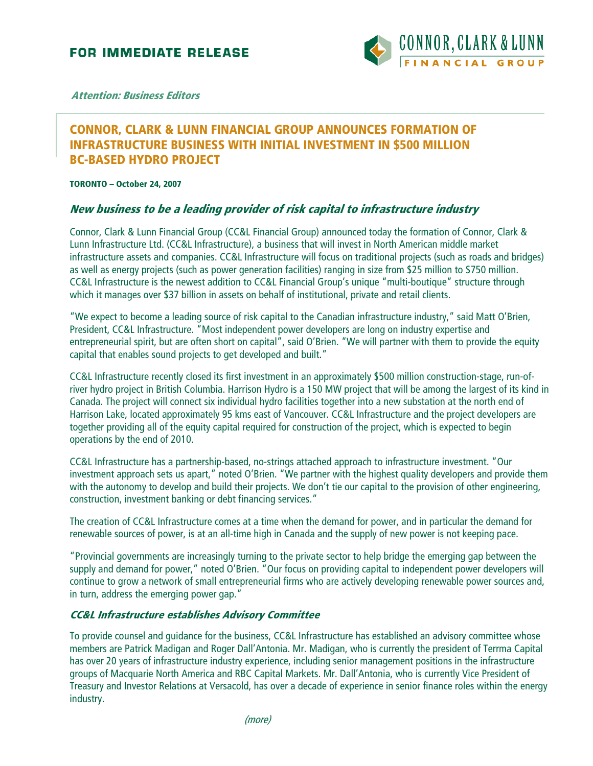

**Attention: Business Editors**

## **CONNOR, CLARK & LUNN FINANCIAL GROUP ANNOUNCES FORMATION OF INFRASTRUCTURE BUSINESS WITH INITIAL INVESTMENT IN \$500 MILLION BC-BASED HYDRO PROJECT**

**TORONTO – October 24, 2007** 

## **New business to be a leading provider of risk capital to infrastructure industry**

Connor, Clark & Lunn Financial Group (CC&L Financial Group) announced today the formation of Connor, Clark & Lunn Infrastructure Ltd. (CC&L Infrastructure), a business that will invest in North American middle market infrastructure assets and companies. CC&L Infrastructure will focus on traditional projects (such as roads and bridges) as well as energy projects (such as power generation facilities) ranging in size from \$25 million to \$750 million. CC&L Infrastructure is the newest addition to CC&L Financial Group's unique "multi-boutique" structure through which it manages over \$37 billion in assets on behalf of institutional, private and retail clients.

"We expect to become a leading source of risk capital to the Canadian infrastructure industry," said Matt O'Brien, President, CC&L Infrastructure. "Most independent power developers are long on industry expertise and entrepreneurial spirit, but are often short on capital", said O'Brien. "We will partner with them to provide the equity capital that enables sound projects to get developed and built."

CC&L Infrastructure recently closed its first investment in an approximately \$500 million construction-stage, run-ofriver hydro project in British Columbia. Harrison Hydro is a 150 MW project that will be among the largest of its kind in Canada. The project will connect six individual hydro facilities together into a new substation at the north end of Harrison Lake, located approximately 95 kms east of Vancouver. CC&L Infrastructure and the project developers are together providing all of the equity capital required for construction of the project, which is expected to begin operations by the end of 2010.

CC&L Infrastructure has a partnership-based, no-strings attached approach to infrastructure investment. "Our investment approach sets us apart," noted O'Brien. "We partner with the highest quality developers and provide them with the autonomy to develop and build their projects. We don't tie our capital to the provision of other engineering, construction, investment banking or debt financing services."

The creation of CC&L Infrastructure comes at a time when the demand for power, and in particular the demand for renewable sources of power, is at an all-time high in Canada and the supply of new power is not keeping pace.

"Provincial governments are increasingly turning to the private sector to help bridge the emerging gap between the supply and demand for power," noted O'Brien. "Our focus on providing capital to independent power developers will continue to grow a network of small entrepreneurial firms who are actively developing renewable power sources and, in turn, address the emerging power gap."

## **CC&L Infrastructure establishes Advisory Committee**

To provide counsel and guidance for the business, CC&L Infrastructure has established an advisory committee whose members are Patrick Madigan and Roger Dall'Antonia. Mr. Madigan, who is currently the president of Terrma Capital has over 20 years of infrastructure industry experience, including senior management positions in the infrastructure groups of Macquarie North America and RBC Capital Markets. Mr. Dall'Antonia, who is currently Vice President of Treasury and Investor Relations at Versacold, has over a decade of experience in senior finance roles within the energy industry.